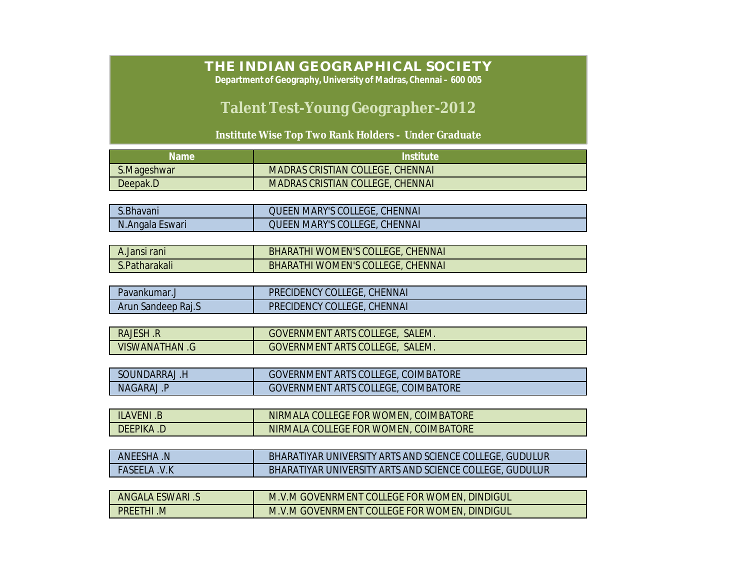## **THE INDIAN GEOGRAPHICAL SOCIETY**

**Department of Geography, University of Madras, Chennai – 600 005**

## **Talent Test-Young Geographer-2012**

**Institute Wise Top Two Rank Holders - Under Graduate**

| Name        | Institute                               |
|-------------|-----------------------------------------|
| S.Mageshwar | <b>MADRAS CRISTIAN COLLEGE, CHENNAI</b> |
| Deepak.D    | <b>MADRAS CRISTIAN COLLEGE, CHENNAL</b> |

| S.Bhavani        | <b>QUEEN MARY'S COLLEGE, CHENNAI</b> |
|------------------|--------------------------------------|
| N. Angala Eswari | <b>QUEEN MARY'S COLLEGE, CHENNAL</b> |

| A.Jansi rani  | BHARATHI WOMEN'S COLLEGE, CHENNAI        |
|---------------|------------------------------------------|
| S.Patharakali | <b>BHARATHI WOMEN'S COLLEGE, CHENNAL</b> |

| Pavankumar.        | <b>PRECIDENCY COLLEGE, CHENNAL</b> |
|--------------------|------------------------------------|
| Arun Sandeep Raj.S | PRECIDENCY COLLEGE, CHENNAI        |

| RAJESH .R      | <b>GOVERNMENT ARTS COLLEGE, SALEM.</b> |
|----------------|----------------------------------------|
| VISWANATHAN .G | <b>GOVERNMENT ARTS COLLEGE, SALEM.</b> |

| SOUNDARRAJ .F | <b>GOVERNMENT ARTS COLLEGE, COIMBATORE</b> |
|---------------|--------------------------------------------|
| NAGARAJ.P     | <b>GOVERNMENT ARTS COLLEGE, COIMBATORE</b> |

| ILAVENI .B | NIRMALA COLLEGE FOR WOMEN, COIMBATORE |
|------------|---------------------------------------|
| DEEPIKA .D | NIRMALA COLLEGE FOR WOMEN, COIMBATORE |

| ANEESHA .N          | BHARATIYAR UNIVERSITY ARTS AND SCIENCE COLLEGE, GUDULUR |
|---------------------|---------------------------------------------------------|
| <b>FASEELA .V.K</b> | BHARATIYAR UNIVERSITY ARTS AND SCIENCE COLLEGE, GUDULUR |

| ANGALA ESWARI .S | M.V.M GOVENRMENT COLLEGE FOR WOMEN, DINDIGUL |
|------------------|----------------------------------------------|
| <b>PREETHI M</b> | M.V.M GOVENRMENT COLLEGE FOR WOMEN, DINDIGUL |